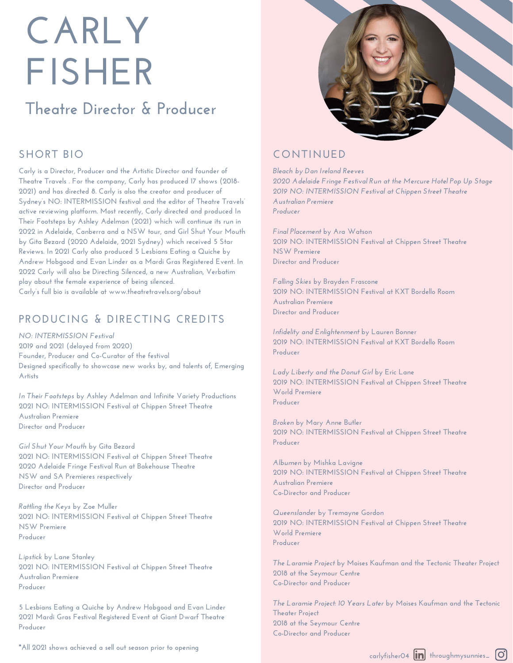# **CARLY FISHER**

## **Theatre Director & Producer**

## **SHORT BIO**

**Carly is a Director, Producer and the Artistic Director and founder of Theatre Travels . For the company, Carly has produced 17 shows (2018- 2021) and has directed 8. Carly is also the creator and producer of Sydney's NO: INTERMISSION festival and the editor of Theatre Travels' active reviewing platform. Most recently, Carly directed and produced In Their Footsteps by Ashley Adelman (2021) which will continue its run in 2022 in Adelaide, Canberra and a NSW tour, and Girl Shut Your Mouth by Gita Bezard (2020 Adelaide, 2021 Sydney) which received 5 Star Reviews. In 2021 Carly also produced 5 Lesbians Eating a Quiche by Andrew Hobgood and Evan Linder as a Mardi Gras Registered Event. In 2022 Carly will also be Directing Silenced, a new Australian, Verbatim play about the female experience of being silenced. Carly's full bio is available at www.theatretravels.org/about**

## **PRODUCING & DIRECTING CREDITS**

*NO: INTERMISSION Festival* **2019 and 2021 (delayed from 2020) Founder, Producer and Co-Curator of the festival Designed specifically to showcase new works by, and talents of, Emerging Artists**

*In Their Footsteps* **by Ashley Adelman and Infinite Variety Productions 2021 NO: INTERMISSION Festival at Chippen Street Theatre Australian Premiere Director and Producer**

*Girl Shut Your Mouth* **by Gita Bezard 2021 NO: INTERMISSION Festival at Chippen Street Theatre 2020 Adelaide Fringe Festival Run at Bakehouse Theatre NSW and SA Premieres respectively Director and Producer**

*Rattling the Keys* **by Zoe Muller 2021 NO: INTERMISSION Festival at Chippen Street Theatre NSW Premiere Producer**

*Lipstick* **by Lane Stanley 2021 NO: INTERMISSION Festival at Chippen Street Theatre Australian Premiere Producer**

**5 Lesbians Eating a Quiche by Andrew Hobgood and Evan Linder 2021 Mardi Gras Festival Registered Event at Giant Dwarf Theatre Producer**

**\*All 2021 shows achieved a sell out season prior to opening**



## **CONTINUED**

*Bleach by Dan Ireland Reeves 2020 Adelaide Fringe Festival Run at the Mercure Hotel Pop Up Stage 2019 NO: INTERMISSION Festival at Chippen Street Theatre Australian Premiere Producer*

*Final Placement* **by Ara Watson 2019 NO: INTERMISSION Festival at Chippen Street Theatre NSW Premiere Director and Producer**

*Falling Skies* **by Brayden Frascone 2019 NO: INTERMISSION Festival at KXT Bordello Room Australian Premiere Director and Producer**

*Infidelity and Enlightenment* **by Lauren Bonner 2019 NO: INTERMISSION Festival at KXT Bordello Room Producer**

*Lady Liberty and the Donut Girl* **by Eric Lane 2019 NO: INTERMISSION Festival at Chippen Street Theatre World Premiere Producer**

*Broken* **by Mary Anne Butler 2019 NO: INTERMISSION Festival at Chippen Street Theatre Producer**

*Albumen* **by Mishka Lavigne 2019 NO: INTERMISSION Festival at Chippen Street Theatre Australian Premiere Co-Director and Producer**

*Queenslande***r by Tremayne Gordon 2019 NO: INTERMISSION Festival at Chippen Street Theatre World Premiere Producer**

*The Laramie Project* **by Moises Kaufman and the Tectonic Theater Project 2018 at the Seymour Centre Co-Director and Producer**

*The Laramie Project: 10 Years Later* **by Moises Kaufman and the Tectonic Theater Project 2018 at the Seymour Centre Co-Director and Producer**

> **carlyfisher04 throughmysunnies\_**  $\lbrack$ O